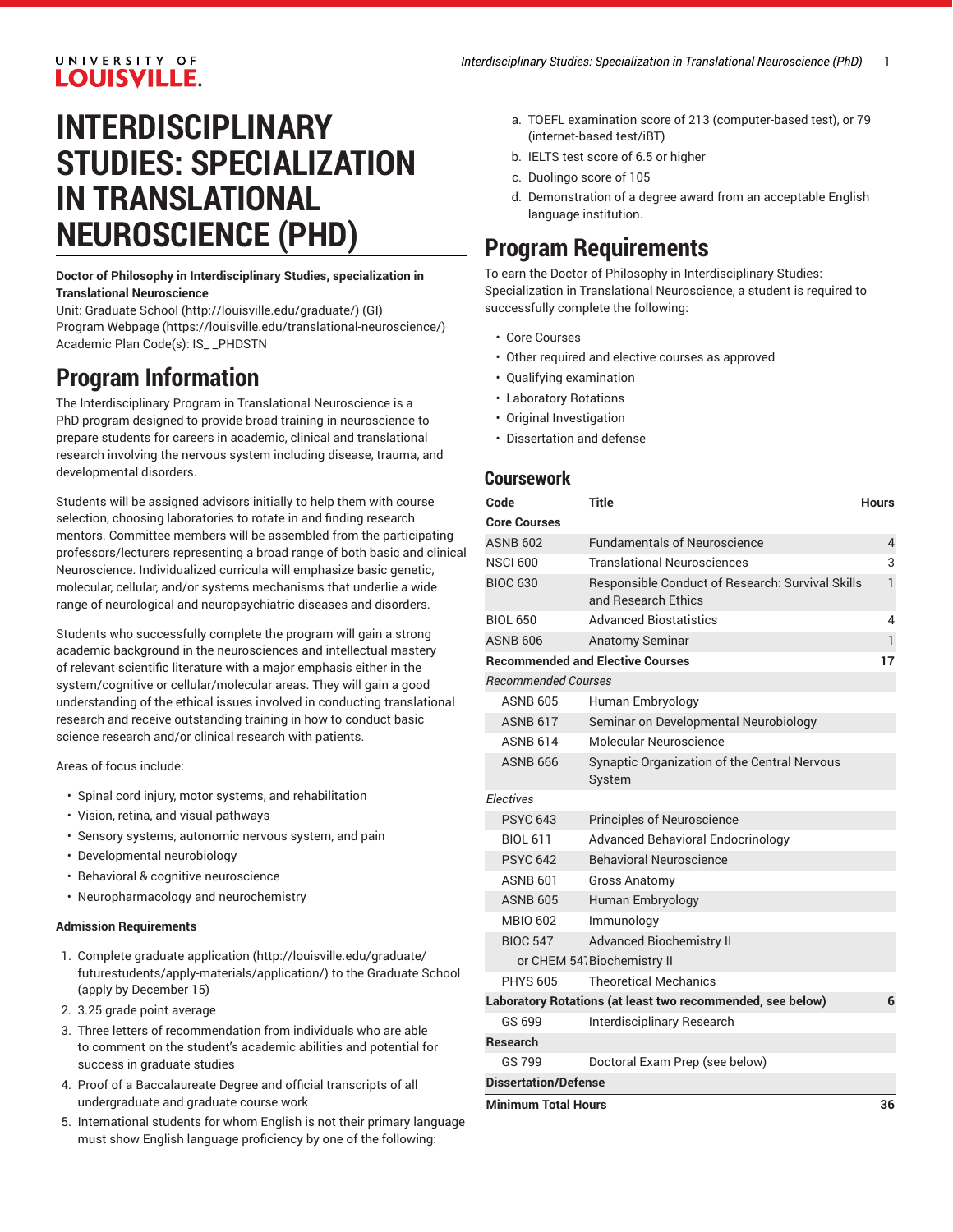#### UNIVERSITY OF **LOUISVILLE.**

# **INTERDISCIPLINARY STUDIES: SPECIALIZATION IN TRANSLATIONAL NEUROSCIENCE (PHD)**

**Doctor of Philosophy in Interdisciplinary Studies, specialization in Translational Neuroscience**

Unit: [Graduate School \(http://louisville.edu/graduate/](http://louisville.edu/graduate/)) (GI) Program [Webpage](https://louisville.edu/translational-neuroscience/) [\(https://louisville.edu/translational-neuroscience/\)](https://louisville.edu/translational-neuroscience/) Academic Plan Code(s): IS\_ \_PHDSTN

## **Program Information**

The Interdisciplinary Program in Translational Neuroscience is a PhD program designed to provide broad training in neuroscience to prepare students for careers in academic, clinical and translational research involving the nervous system including disease, trauma, and developmental disorders.

Students will be assigned advisors initially to help them with course selection, choosing laboratories to rotate in and finding research mentors. Committee members will be assembled from the participating professors/lecturers representing a broad range of both basic and clinical Neuroscience. Individualized curricula will emphasize basic genetic, molecular, cellular, and/or systems mechanisms that underlie a wide range of neurological and neuropsychiatric diseases and disorders.

Students who successfully complete the program will gain a strong academic background in the neurosciences and intellectual mastery of relevant scientific literature with a major emphasis either in the system/cognitive or cellular/molecular areas. They will gain a good understanding of the ethical issues involved in conducting translational research and receive outstanding training in how to conduct basic science research and/or clinical research with patients.

Areas of focus include:

- Spinal cord injury, motor systems, and rehabilitation
- Vision, retina, and visual pathways
- Sensory systems, autonomic nervous system, and pain
- Developmental neurobiology
- Behavioral & cognitive neuroscience
- Neuropharmacology and neurochemistry

#### **Admission Requirements**

- 1. Complete [graduate application](http://louisville.edu/graduate/futurestudents/apply-materials/application/) [\(http://louisville.edu/graduate/](http://louisville.edu/graduate/futurestudents/apply-materials/application/) [futurestudents/apply-materials/application/\)](http://louisville.edu/graduate/futurestudents/apply-materials/application/) to the Graduate School (apply by December 15)
- 2. 3.25 grade point average
- 3. Three letters of recommendation from individuals who are able to comment on the student's academic abilities and potential for success in graduate studies
- 4. Proof of a Baccalaureate Degree and official transcripts of all undergraduate and graduate course work
- 5. International students for whom English is not their primary language must show English language proficiency by one of the following:
- a. TOEFL examination score of 213 (computer-based test), or 79 (internet-based test/iBT)
- b. IELTS test score of 6.5 or higher
- c. Duolingo score of 105
- d. Demonstration of a degree award from an acceptable English language institution.

### **Program Requirements**

To earn the Doctor of Philosophy in Interdisciplinary Studies: Specialization in Translational Neuroscience, a student is required to successfully complete the following:

- Core Courses
- Other required and elective courses as approved
- Qualifying examination
- Laboratory Rotations
- Original Investigation
- Dissertation and defense

#### **Coursework**

| Code                             | Title                                                                   | <b>Hours</b> |
|----------------------------------|-------------------------------------------------------------------------|--------------|
| <b>Core Courses</b>              |                                                                         |              |
| <b>ASNB 602</b>                  | <b>Fundamentals of Neuroscience</b>                                     | 4            |
| <b>NSCI 600</b>                  | <b>Translational Neurosciences</b>                                      | 3            |
| <b>BIOC 630</b>                  | Responsible Conduct of Research: Survival Skills<br>and Research Ethics | 1            |
| <b>BIOL 650</b>                  | <b>Advanced Biostatistics</b>                                           | 4            |
| <b>ASNB 606</b>                  | <b>Anatomy Seminar</b>                                                  | 1            |
|                                  | <b>Recommended and Elective Courses</b>                                 | 17           |
| <b>Recommended Courses</b>       |                                                                         |              |
| <b>ASNB 605</b>                  | Human Embryology                                                        |              |
| <b>ASNB 617</b>                  | Seminar on Developmental Neurobiology                                   |              |
| <b>ASNR 614</b>                  | Molecular Neuroscience                                                  |              |
| <b>ASNB 666</b>                  | Synaptic Organization of the Central Nervous<br>System                  |              |
| <b>Electives</b>                 |                                                                         |              |
| <b>PSYC 643</b>                  | Principles of Neuroscience                                              |              |
| <b>BIOL 611</b>                  | <b>Advanced Behavioral Endocrinology</b>                                |              |
| <b>PSYC 642</b>                  | <b>Behavioral Neuroscience</b>                                          |              |
| <b>ASNB 601</b>                  | <b>Gross Anatomy</b>                                                    |              |
| <b>ASNB 605</b>                  | Human Embryology                                                        |              |
| MBIO 602                         | Immunology                                                              |              |
| <b>BIOC 547</b>                  | <b>Advanced Biochemistry II</b>                                         |              |
| or CHEM 547Biochemistry II       |                                                                         |              |
| <b>PHYS 605</b>                  | <b>Theoretical Mechanics</b>                                            |              |
|                                  | Laboratory Rotations (at least two recommended, see below)              | 6            |
| GS 699                           | Interdisciplinary Research                                              |              |
| <b>Research</b>                  |                                                                         |              |
| GS 799                           | Doctoral Exam Prep (see below)                                          |              |
| <b>Dissertation/Defense</b>      |                                                                         |              |
| <b>Minimum Total Hours</b><br>36 |                                                                         |              |